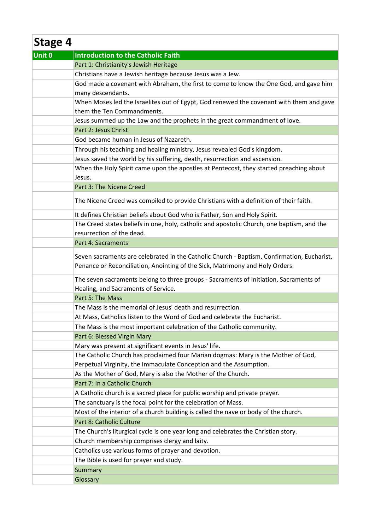## **Stage 4**

| Unit 0 | <b>Introduction to the Catholic Faith</b>                                                                                                                                  |
|--------|----------------------------------------------------------------------------------------------------------------------------------------------------------------------------|
|        | Part 1: Christianity's Jewish Heritage                                                                                                                                     |
|        | Christians have a Jewish heritage because Jesus was a Jew.                                                                                                                 |
|        | God made a covenant with Abraham, the first to come to know the One God, and gave him                                                                                      |
|        | many descendants.                                                                                                                                                          |
|        | When Moses led the Israelites out of Egypt, God renewed the covenant with them and gave                                                                                    |
|        | them the Ten Commandments.                                                                                                                                                 |
|        | Jesus summed up the Law and the prophets in the great commandment of love.                                                                                                 |
|        | Part 2: Jesus Christ                                                                                                                                                       |
|        | God became human in Jesus of Nazareth.                                                                                                                                     |
|        | Through his teaching and healing ministry, Jesus revealed God's kingdom.                                                                                                   |
|        | Jesus saved the world by his suffering, death, resurrection and ascension.                                                                                                 |
|        | When the Holy Spirit came upon the apostles at Pentecost, they started preaching about                                                                                     |
|        | Jesus.                                                                                                                                                                     |
|        | Part 3: The Nicene Creed                                                                                                                                                   |
|        | The Nicene Creed was compiled to provide Christians with a definition of their faith.                                                                                      |
|        | It defines Christian beliefs about God who is Father, Son and Holy Spirit.                                                                                                 |
|        | The Creed states beliefs in one, holy, catholic and apostolic Church, one baptism, and the                                                                                 |
|        | resurrection of the dead.                                                                                                                                                  |
|        | <b>Part 4: Sacraments</b>                                                                                                                                                  |
|        | Seven sacraments are celebrated in the Catholic Church - Baptism, Confirmation, Eucharist,<br>Penance or Reconciliation, Anointing of the Sick, Matrimony and Holy Orders. |
|        | The seven sacraments belong to three groups - Sacraments of Initiation, Sacraments of                                                                                      |
|        | Healing, and Sacraments of Service.                                                                                                                                        |
|        | Part 5: The Mass                                                                                                                                                           |
|        | The Mass is the memorial of Jesus' death and resurrection.                                                                                                                 |
|        | At Mass, Catholics listen to the Word of God and celebrate the Eucharist.                                                                                                  |
|        | The Mass is the most important celebration of the Catholic community.                                                                                                      |
|        | Part 6: Blessed Virgin Mary                                                                                                                                                |
|        | Mary was present at significant events in Jesus' life.                                                                                                                     |
|        | The Catholic Church has proclaimed four Marian dogmas: Mary is the Mother of God,                                                                                          |
|        | Perpetual Virginity, the Immaculate Conception and the Assumption.                                                                                                         |
|        | As the Mother of God, Mary is also the Mother of the Church.                                                                                                               |
|        | Part 7: In a Catholic Church                                                                                                                                               |
|        | A Catholic church is a sacred place for public worship and private prayer.                                                                                                 |
|        | The sanctuary is the focal point for the celebration of Mass.                                                                                                              |
|        | Most of the interior of a church building is called the nave or body of the church.                                                                                        |
|        | Part 8: Catholic Culture                                                                                                                                                   |
|        | The Church's liturgical cycle is one year long and celebrates the Christian story.                                                                                         |
|        | Church membership comprises clergy and laity.                                                                                                                              |
|        | Catholics use various forms of prayer and devotion.                                                                                                                        |
|        | The Bible is used for prayer and study.                                                                                                                                    |
|        | Summary                                                                                                                                                                    |
|        | Glossary                                                                                                                                                                   |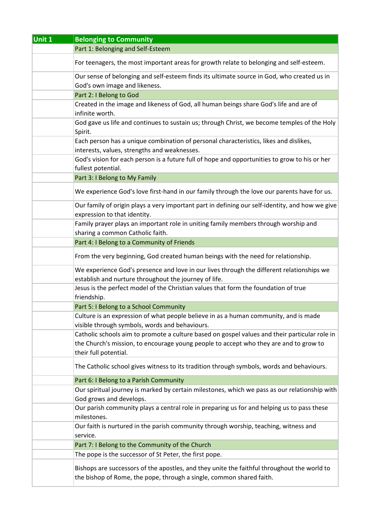| Unit 1 | <b>Belonging to Community</b>                                                                                                                                                                                   |
|--------|-----------------------------------------------------------------------------------------------------------------------------------------------------------------------------------------------------------------|
|        | Part 1: Belonging and Self-Esteem                                                                                                                                                                               |
|        | For teenagers, the most important areas for growth relate to belonging and self-esteem.                                                                                                                         |
|        | Our sense of belonging and self-esteem finds its ultimate source in God, who created us in<br>God's own image and likeness.                                                                                     |
|        | Part 2: I Belong to God                                                                                                                                                                                         |
|        | Created in the image and likeness of God, all human beings share God's life and are of<br>infinite worth.                                                                                                       |
|        | God gave us life and continues to sustain us; through Christ, we become temples of the Holy<br>Spirit.                                                                                                          |
|        | Each person has a unique combination of personal characteristics, likes and dislikes,<br>interests, values, strengths and weaknesses.                                                                           |
|        | God's vision for each person is a future full of hope and opportunities to grow to his or her<br>fullest potential.                                                                                             |
|        | Part 3: I Belong to My Family                                                                                                                                                                                   |
|        | We experience God's love first-hand in our family through the love our parents have for us.                                                                                                                     |
|        | Our family of origin plays a very important part in defining our self-identity, and how we give<br>expression to that identity.                                                                                 |
|        | Family prayer plays an important role in uniting family members through worship and<br>sharing a common Catholic faith.                                                                                         |
|        | Part 4: I Belong to a Community of Friends                                                                                                                                                                      |
|        | From the very beginning, God created human beings with the need for relationship.                                                                                                                               |
|        | We experience God's presence and love in our lives through the different relationships we<br>establish and nurture throughout the journey of life.                                                              |
|        | Jesus is the perfect model of the Christian values that form the foundation of true<br>friendship.                                                                                                              |
|        | Part 5: I Belong to a School Community                                                                                                                                                                          |
|        | Culture is an expression of what people believe in as a human community, and is made<br>visible through symbols, words and behaviours.                                                                          |
|        | Catholic schools aim to promote a culture based on gospel values and their particular role in<br>the Church's mission, to encourage young people to accept who they are and to grow to<br>their full potential. |
|        | The Catholic school gives witness to its tradition through symbols, words and behaviours.                                                                                                                       |
|        | Part 6: I Belong to a Parish Community                                                                                                                                                                          |
|        | Our spiritual journey is marked by certain milestones, which we pass as our relationship with<br>God grows and develops.                                                                                        |
|        | Our parish community plays a central role in preparing us for and helping us to pass these<br>milestones.                                                                                                       |
|        | Our faith is nurtured in the parish community through worship, teaching, witness and<br>service.                                                                                                                |
|        | Part 7: I Belong to the Community of the Church                                                                                                                                                                 |
|        | The pope is the successor of St Peter, the first pope.                                                                                                                                                          |
|        | Bishops are successors of the apostles, and they unite the faithful throughout the world to<br>the bishop of Rome, the pope, through a single, common shared faith.                                             |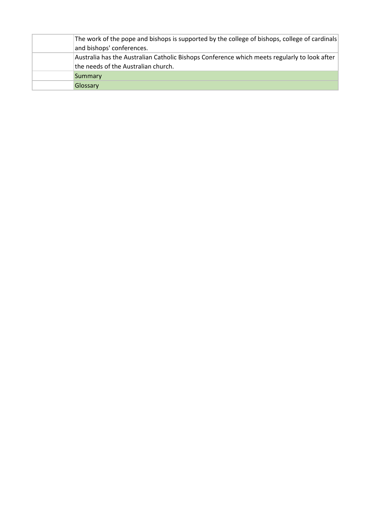| The work of the pope and bishops is supported by the college of bishops, college of cardinals<br>and bishops' conferences.          |
|-------------------------------------------------------------------------------------------------------------------------------------|
| Australia has the Australian Catholic Bishops Conference which meets regularly to look after<br>the needs of the Australian church. |
| Summary                                                                                                                             |
| Glossary                                                                                                                            |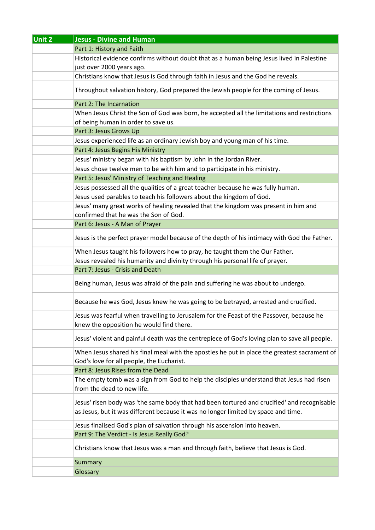| Unit 2 | <b>Jesus - Divine and Human</b>                                                                                                                                                   |
|--------|-----------------------------------------------------------------------------------------------------------------------------------------------------------------------------------|
|        | Part 1: History and Faith                                                                                                                                                         |
|        | Historical evidence confirms without doubt that as a human being Jesus lived in Palestine                                                                                         |
|        | just over 2000 years ago.                                                                                                                                                         |
|        | Christians know that Jesus is God through faith in Jesus and the God he reveals.                                                                                                  |
|        | Throughout salvation history, God prepared the Jewish people for the coming of Jesus.                                                                                             |
|        | Part 2: The Incarnation                                                                                                                                                           |
|        | When Jesus Christ the Son of God was born, he accepted all the limitations and restrictions                                                                                       |
|        | of being human in order to save us.                                                                                                                                               |
|        | Part 3: Jesus Grows Up                                                                                                                                                            |
|        | Jesus experienced life as an ordinary Jewish boy and young man of his time.                                                                                                       |
|        | Part 4: Jesus Begins His Ministry                                                                                                                                                 |
|        | Jesus' ministry began with his baptism by John in the Jordan River.                                                                                                               |
|        | Jesus chose twelve men to be with him and to participate in his ministry.                                                                                                         |
|        | Part 5: Jesus' Ministry of Teaching and Healing                                                                                                                                   |
|        | Jesus possessed all the qualities of a great teacher because he was fully human.                                                                                                  |
|        | Jesus used parables to teach his followers about the kingdom of God.                                                                                                              |
|        | Jesus' many great works of healing revealed that the kingdom was present in him and                                                                                               |
|        | confirmed that he was the Son of God.                                                                                                                                             |
|        | Part 6: Jesus - A Man of Prayer                                                                                                                                                   |
|        | Jesus is the perfect prayer model because of the depth of his intimacy with God the Father.                                                                                       |
|        | When Jesus taught his followers how to pray, he taught them the Our Father.                                                                                                       |
|        | Jesus revealed his humanity and divinity through his personal life of prayer.                                                                                                     |
|        | Part 7: Jesus - Crisis and Death                                                                                                                                                  |
|        | Being human, Jesus was afraid of the pain and suffering he was about to undergo.                                                                                                  |
|        | Because he was God, Jesus knew he was going to be betrayed, arrested and crucified.                                                                                               |
|        | Jesus was fearful when travelling to Jerusalem for the Feast of the Passover, because he<br>knew the opposition he would find there.                                              |
|        | Jesus' violent and painful death was the centrepiece of God's loving plan to save all people.                                                                                     |
|        | When Jesus shared his final meal with the apostles he put in place the greatest sacrament of<br>God's love for all people, the Eucharist.                                         |
|        | Part 8: Jesus Rises from the Dead                                                                                                                                                 |
|        | The empty tomb was a sign from God to help the disciples understand that Jesus had risen<br>from the dead to new life.                                                            |
|        | Jesus' risen body was 'the same body that had been tortured and crucified' and recognisable<br>as Jesus, but it was different because it was no longer limited by space and time. |
|        | Jesus finalised God's plan of salvation through his ascension into heaven.                                                                                                        |
|        | Part 9: The Verdict - Is Jesus Really God?                                                                                                                                        |
|        | Christians know that Jesus was a man and through faith, believe that Jesus is God.                                                                                                |
|        | Summary                                                                                                                                                                           |
|        | Glossary                                                                                                                                                                          |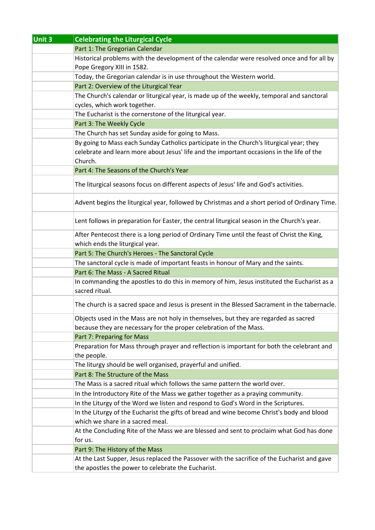| Unit 3 | <b>Celebrating the Liturgical Cycle</b>                                                                                        |
|--------|--------------------------------------------------------------------------------------------------------------------------------|
|        | Part 1: The Gregorian Calendar                                                                                                 |
|        | Historical problems with the development of the calendar were resolved once and for all by                                     |
|        | Pope Gregory XIII in 1582.                                                                                                     |
|        | Today, the Gregorian calendar is in use throughout the Western world.                                                          |
|        | Part 2: Overview of the Liturgical Year                                                                                        |
|        | The Church's calendar or liturgical year, is made up of the weekly, temporal and sanctoral                                     |
|        | cycles, which work together.                                                                                                   |
|        | The Eucharist is the cornerstone of the liturgical year.                                                                       |
|        | Part 3: The Weekly Cycle                                                                                                       |
|        | The Church has set Sunday aside for going to Mass.                                                                             |
|        | By going to Mass each Sunday Catholics participate in the Church's liturgical year; they                                       |
|        | celebrate and learn more about Jesus' life and the important occasions in the life of the                                      |
|        | Church.                                                                                                                        |
|        | Part 4: The Seasons of the Church's Year                                                                                       |
|        | The liturgical seasons focus on different aspects of Jesus' life and God's activities.                                         |
|        | Advent begins the liturgical year, followed by Christmas and a short period of Ordinary Time.                                  |
|        | Lent follows in preparation for Easter, the central liturgical season in the Church's year.                                    |
|        | After Pentecost there is a long period of Ordinary Time until the feast of Christ the King,<br>which ends the liturgical year. |
|        | Part 5: The Church's Heroes - The Sanctoral Cycle                                                                              |
|        | The sanctoral cycle is made of important feasts in honour of Mary and the saints.                                              |
|        | Part 6: The Mass - A Sacred Ritual                                                                                             |
|        | In commanding the apostles to do this in memory of him, Jesus instituted the Eucharist as a                                    |
|        | sacred ritual.                                                                                                                 |
|        | The church is a sacred space and Jesus is present in the Blessed Sacrament in the tabernacle.                                  |
|        | Objects used in the Mass are not holy in themselves, but they are regarded as sacred                                           |
|        | because they are necessary for the proper celebration of the Mass.                                                             |
|        | Part 7: Preparing for Mass                                                                                                     |
|        | Preparation for Mass through prayer and reflection is important for both the celebrant and                                     |
|        | the people.                                                                                                                    |
|        | The liturgy should be well organised, prayerful and unified.                                                                   |
|        | Part 8: The Structure of the Mass                                                                                              |
|        | The Mass is a sacred ritual which follows the same pattern the world over.                                                     |
|        | In the Introductory Rite of the Mass we gather together as a praying community.                                                |
|        | In the Liturgy of the Word we listen and respond to God's Word in the Scriptures.                                              |
|        | In the Liturgy of the Eucharist the gifts of bread and wine become Christ's body and blood                                     |
|        | which we share in a sacred meal.                                                                                               |
|        | At the Concluding Rite of the Mass we are blessed and sent to proclaim what God has done                                       |
|        | for us.                                                                                                                        |
|        | Part 9: The History of the Mass                                                                                                |
|        | At the Last Supper, Jesus replaced the Passover with the sacrifice of the Eucharist and gave                                   |
|        | the apostles the power to celebrate the Eucharist.                                                                             |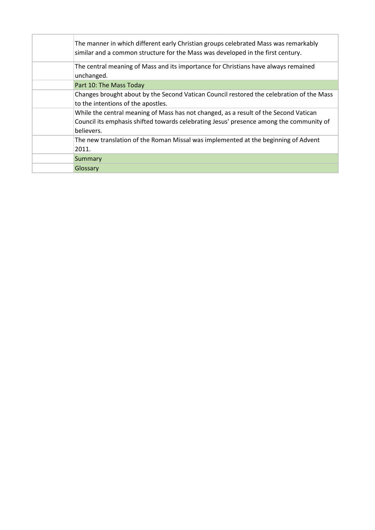| The manner in which different early Christian groups celebrated Mass was remarkably<br>similar and a common structure for the Mass was developed in the first century. |
|------------------------------------------------------------------------------------------------------------------------------------------------------------------------|
| The central meaning of Mass and its importance for Christians have always remained                                                                                     |
| unchanged.                                                                                                                                                             |
| Part 10: The Mass Today                                                                                                                                                |
| Changes brought about by the Second Vatican Council restored the celebration of the Mass                                                                               |
| to the intentions of the apostles.                                                                                                                                     |
| While the central meaning of Mass has not changed, as a result of the Second Vatican                                                                                   |
| Council its emphasis shifted towards celebrating Jesus' presence among the community of                                                                                |
| believers.                                                                                                                                                             |
| The new translation of the Roman Missal was implemented at the beginning of Advent                                                                                     |
| 2011.                                                                                                                                                                  |
| <b>Summary</b>                                                                                                                                                         |
| Glossary                                                                                                                                                               |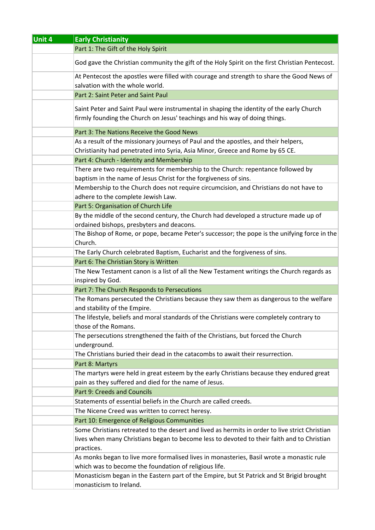| Unit 4 | <b>Early Christianity</b>                                                                                                                                               |
|--------|-------------------------------------------------------------------------------------------------------------------------------------------------------------------------|
|        | Part 1: The Gift of the Holy Spirit                                                                                                                                     |
|        | God gave the Christian community the gift of the Holy Spirit on the first Christian Pentecost.                                                                          |
|        | At Pentecost the apostles were filled with courage and strength to share the Good News of<br>salvation with the whole world.                                            |
|        | Part 2: Saint Peter and Saint Paul                                                                                                                                      |
|        | Saint Peter and Saint Paul were instrumental in shaping the identity of the early Church<br>firmly founding the Church on Jesus' teachings and his way of doing things. |
|        | Part 3: The Nations Receive the Good News                                                                                                                               |
|        | As a result of the missionary journeys of Paul and the apostles, and their helpers,<br>Christianity had penetrated into Syria, Asia Minor, Greece and Rome by 65 CE.    |
|        | Part 4: Church - Identity and Membership                                                                                                                                |
|        | There are two requirements for membership to the Church: repentance followed by<br>baptism in the name of Jesus Christ for the forgiveness of sins.                     |
|        | Membership to the Church does not require circumcision, and Christians do not have to<br>adhere to the complete Jewish Law.                                             |
|        | Part 5: Organisation of Church Life                                                                                                                                     |
|        | By the middle of the second century, the Church had developed a structure made up of<br>ordained bishops, presbyters and deacons.                                       |
|        | The Bishop of Rome, or pope, became Peter's successor; the pope is the unifying force in the<br>Church.                                                                 |
|        | The Early Church celebrated Baptism, Eucharist and the forgiveness of sins.                                                                                             |
|        | Part 6: The Christian Story is Written                                                                                                                                  |
|        | The New Testament canon is a list of all the New Testament writings the Church regards as<br>inspired by God.                                                           |
|        | Part 7: The Church Responds to Persecutions                                                                                                                             |
|        | The Romans persecuted the Christians because they saw them as dangerous to the welfare                                                                                  |
|        | and stability of the Empire.                                                                                                                                            |
|        | The lifestyle, beliefs and moral standards of the Christians were completely contrary to<br>those of the Romans.                                                        |
|        | The persecutions strengthened the faith of the Christians, but forced the Church<br>underground.                                                                        |
|        | The Christians buried their dead in the catacombs to await their resurrection.                                                                                          |
|        | Part 8: Martyrs                                                                                                                                                         |
|        | The martyrs were held in great esteem by the early Christians because they endured great                                                                                |
|        | pain as they suffered and died for the name of Jesus.                                                                                                                   |
|        | <b>Part 9: Creeds and Councils</b>                                                                                                                                      |
|        | Statements of essential beliefs in the Church are called creeds.                                                                                                        |
|        | The Nicene Creed was written to correct heresy.<br>Part 10: Emergence of Religious Communities                                                                          |
|        | Some Christians retreated to the desert and lived as hermits in order to live strict Christian                                                                          |
|        | lives when many Christians began to become less to devoted to their faith and to Christian                                                                              |
|        | practices.                                                                                                                                                              |
|        | As monks began to live more formalised lives in monasteries, Basil wrote a monastic rule                                                                                |
|        | which was to become the foundation of religious life.                                                                                                                   |
|        | Monasticism began in the Eastern part of the Empire, but St Patrick and St Brigid brought<br>monasticism to Ireland.                                                    |
|        |                                                                                                                                                                         |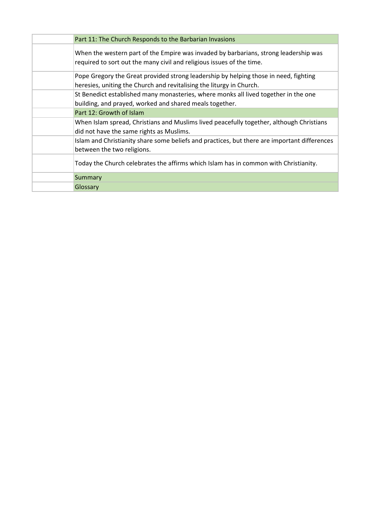| Part 11: The Church Responds to the Barbarian Invasions                                                                                                       |
|---------------------------------------------------------------------------------------------------------------------------------------------------------------|
| When the western part of the Empire was invaded by barbarians, strong leadership was<br>required to sort out the many civil and religious issues of the time. |
| Pope Gregory the Great provided strong leadership by helping those in need, fighting<br>heresies, uniting the Church and revitalising the liturgy in Church.  |
| St Benedict established many monasteries, where monks all lived together in the one<br>building, and prayed, worked and shared meals together.                |
| Part 12: Growth of Islam                                                                                                                                      |
| When Islam spread, Christians and Muslims lived peacefully together, although Christians<br>did not have the same rights as Muslims.                          |
| Islam and Christianity share some beliefs and practices, but there are important differences<br>between the two religions.                                    |
| Today the Church celebrates the affirms which Islam has in common with Christianity.                                                                          |
| Summary                                                                                                                                                       |
| Glossary                                                                                                                                                      |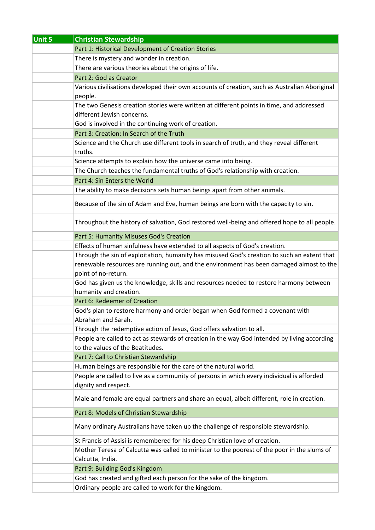| Unit 5 | <b>Christian Stewardship</b>                                                                  |
|--------|-----------------------------------------------------------------------------------------------|
|        | Part 1: Historical Development of Creation Stories                                            |
|        | There is mystery and wonder in creation.                                                      |
|        | There are various theories about the origins of life.                                         |
|        | Part 2: God as Creator                                                                        |
|        | Various civilisations developed their own accounts of creation, such as Australian Aboriginal |
|        | people.                                                                                       |
|        | The two Genesis creation stories were written at different points in time, and addressed      |
|        | different Jewish concerns.                                                                    |
|        | God is involved in the continuing work of creation.                                           |
|        | Part 3: Creation: In Search of the Truth                                                      |
|        | Science and the Church use different tools in search of truth, and they reveal different      |
|        | truths.                                                                                       |
|        | Science attempts to explain how the universe came into being.                                 |
|        | The Church teaches the fundamental truths of God's relationship with creation.                |
|        | Part 4: Sin Enters the World                                                                  |
|        | The ability to make decisions sets human beings apart from other animals.                     |
|        |                                                                                               |
|        | Because of the sin of Adam and Eve, human beings are born with the capacity to sin.           |
|        | Throughout the history of salvation, God restored well-being and offered hope to all people.  |
|        | Part 5: Humanity Misuses God's Creation                                                       |
|        | Effects of human sinfulness have extended to all aspects of God's creation.                   |
|        | Through the sin of exploitation, humanity has misused God's creation to such an extent that   |
|        | renewable resources are running out, and the environment has been damaged almost to the       |
|        | point of no-return.                                                                           |
|        | God has given us the knowledge, skills and resources needed to restore harmony between        |
|        | humanity and creation.                                                                        |
|        | Part 6: Redeemer of Creation                                                                  |
|        | God's plan to restore harmony and order began when God formed a covenant with                 |
|        | Abraham and Sarah.                                                                            |
|        | Through the redemptive action of Jesus, God offers salvation to all.                          |
|        | People are called to act as stewards of creation in the way God intended by living according  |
|        | to the values of the Beatitudes.                                                              |
|        | Part 7: Call to Christian Stewardship                                                         |
|        | Human beings are responsible for the care of the natural world.                               |
|        | People are called to live as a community of persons in which every individual is afforded     |
|        | dignity and respect.                                                                          |
|        | Male and female are equal partners and share an equal, albeit different, role in creation.    |
|        | Part 8: Models of Christian Stewardship                                                       |
|        | Many ordinary Australians have taken up the challenge of responsible stewardship.             |
|        | St Francis of Assisi is remembered for his deep Christian love of creation.                   |
|        | Mother Teresa of Calcutta was called to minister to the poorest of the poor in the slums of   |
|        | Calcutta, India.                                                                              |
|        | Part 9: Building God's Kingdom                                                                |
|        | God has created and gifted each person for the sake of the kingdom.                           |
|        | Ordinary people are called to work for the kingdom.                                           |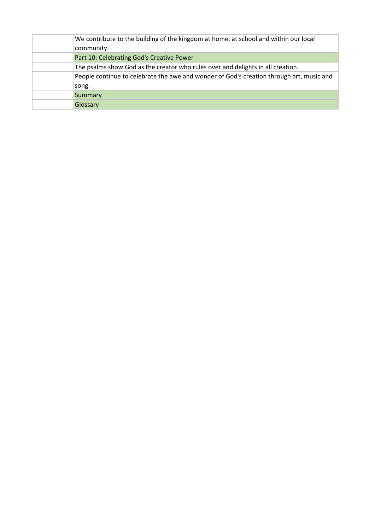| We contribute to the building of the kingdom at home, at school and within our local<br>community. |
|----------------------------------------------------------------------------------------------------|
| Part 10: Celebrating God's Creative Power                                                          |
| The psalms show God as the creator who rules over and delights in all creation.                    |
| People continue to celebrate the awe and wonder of God's creation through art, music and           |
| song.                                                                                              |
| Summary                                                                                            |
| Glossary                                                                                           |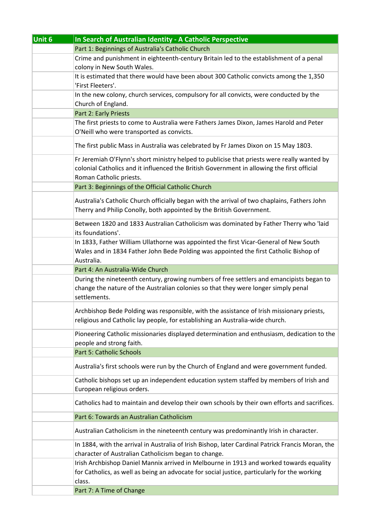| Unit 6 | In Search of Australian Identity - A Catholic Perspective                                                                                                                                                            |
|--------|----------------------------------------------------------------------------------------------------------------------------------------------------------------------------------------------------------------------|
|        | Part 1: Beginnings of Australia's Catholic Church                                                                                                                                                                    |
|        | Crime and punishment in eighteenth-century Britain led to the establishment of a penal                                                                                                                               |
|        | colony in New South Wales.                                                                                                                                                                                           |
|        | It is estimated that there would have been about 300 Catholic convicts among the 1,350<br>'First Fleeters'.                                                                                                          |
|        | In the new colony, church services, compulsory for all convicts, were conducted by the<br>Church of England.                                                                                                         |
|        | Part 2: Early Priests                                                                                                                                                                                                |
|        | The first priests to come to Australia were Fathers James Dixon, James Harold and Peter<br>O'Neill who were transported as convicts.                                                                                 |
|        | The first public Mass in Australia was celebrated by Fr James Dixon on 15 May 1803.                                                                                                                                  |
|        | Fr Jeremiah O'Flynn's short ministry helped to publicise that priests were really wanted by<br>colonial Catholics and it influenced the British Government in allowing the first official<br>Roman Catholic priests. |
|        | Part 3: Beginnings of the Official Catholic Church                                                                                                                                                                   |
|        | Australia's Catholic Church officially began with the arrival of two chaplains, Fathers John<br>Therry and Philip Conolly, both appointed by the British Government.                                                 |
|        | Between 1820 and 1833 Australian Catholicism was dominated by Father Therry who 'laid<br>its foundations'.                                                                                                           |
|        | In 1833, Father William Ullathorne was appointed the first Vicar-General of New South<br>Wales and in 1834 Father John Bede Polding was appointed the first Catholic Bishop of<br>Australia.                         |
|        | Part 4: An Australia-Wide Church                                                                                                                                                                                     |
|        | During the nineteenth century, growing numbers of free settlers and emancipists began to<br>change the nature of the Australian colonies so that they were longer simply penal<br>settlements.                       |
|        | Archbishop Bede Polding was responsible, with the assistance of Irish missionary priests,<br>religious and Catholic lay people, for establishing an Australia-wide church.                                           |
|        | Pioneering Catholic missionaries displayed determination and enthusiasm, dedication to the<br>people and strong faith.                                                                                               |
|        | Part 5: Catholic Schools                                                                                                                                                                                             |
|        | Australia's first schools were run by the Church of England and were government funded.                                                                                                                              |
|        | Catholic bishops set up an independent education system staffed by members of Irish and<br>European religious orders.                                                                                                |
|        | Catholics had to maintain and develop their own schools by their own efforts and sacrifices.                                                                                                                         |
|        | Part 6: Towards an Australian Catholicism                                                                                                                                                                            |
|        | Australian Catholicism in the nineteenth century was predominantly Irish in character.                                                                                                                               |
|        | In 1884, with the arrival in Australia of Irish Bishop, later Cardinal Patrick Francis Moran, the<br>character of Australian Catholicism began to change.                                                            |
|        | Irish Archbishop Daniel Mannix arrived in Melbourne in 1913 and worked towards equality<br>for Catholics, as well as being an advocate for social justice, particularly for the working<br>class.                    |
|        | Part 7: A Time of Change                                                                                                                                                                                             |
|        |                                                                                                                                                                                                                      |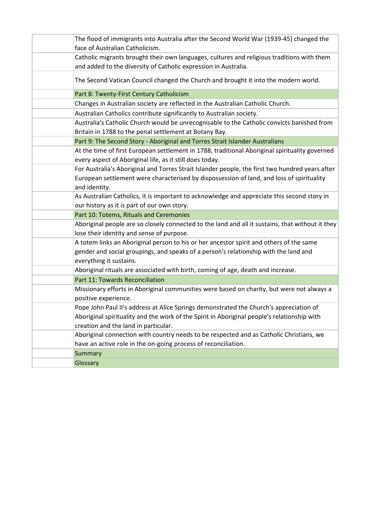| The flood of immigrants into Australia after the Second World War (1939-45) changed the          |
|--------------------------------------------------------------------------------------------------|
| face of Australian Catholicism.                                                                  |
| Catholic migrants brought their own languages, cultures and religious traditions with them       |
| and added to the diversity of Catholic expression in Australia.                                  |
| The Second Vatican Council changed the Church and brought it into the modern world.              |
| Part 8: Twenty-First Century Catholicism                                                         |
| Changes in Australian society are reflected in the Australian Catholic Church.                   |
| Australian Catholics contribute significantly to Australian society.                             |
| Australia's Catholic Church would be unrecognisable to the Catholic convicts banished from       |
| Britain in 1788 to the penal settlement at Botany Bay.                                           |
| Part 9: The Second Story - Aboriginal and Torres Strait Islander Australians                     |
| At the time of first European settlement in 1788, traditional Aboriginal spirituality governed   |
| every aspect of Aboriginal life, as it still does today.                                         |
| For Australia's Aboriginal and Torres Strait Islander people, the first two hundred years after  |
| European settlement were characterised by dispossession of land, and loss of spirituality        |
| and identity.                                                                                    |
| As Australian Catholics, it is important to acknowledge and appreciate this second story in      |
| our history as it is part of our own story.                                                      |
| Part 10: Totems, Rituals and Ceremonies                                                          |
| Aboriginal people are so closely connected to the land and all it sustains, that without it they |
| lose their identity and sense of purpose.                                                        |
| A totem links an Aboriginal person to his or her ancestor spirit and others of the same          |
| gender and social groupings, and speaks of a person's relationship with the land and             |
| everything it sustains.                                                                          |
| Aboriginal rituals are associated with birth, coming of age, death and increase.                 |
| Part 11: Towards Reconciliation                                                                  |
| Missionary efforts in Aboriginal communities were based on charity, but were not always a        |
| positive experience.                                                                             |
| Pope John Paul II's address at Alice Springs demonstrated the Church's appreciation of           |
| Aboriginal spirituality and the work of the Spirit in Aboriginal people's relationship with      |
| creation and the land in particular.                                                             |
| Aboriginal connection with country needs to be respected and as Catholic Christians, we          |
| have an active role in the on-going process of reconciliation.                                   |
| Summary                                                                                          |
| Glossary                                                                                         |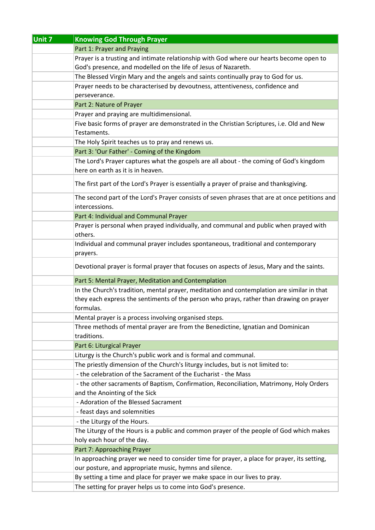| Unit 7 | <b>Knowing God Through Prayer</b>                                                                                                                     |
|--------|-------------------------------------------------------------------------------------------------------------------------------------------------------|
|        | Part 1: Prayer and Praying                                                                                                                            |
|        | Prayer is a trusting and intimate relationship with God where our hearts become open to                                                               |
|        | God's presence, and modelled on the life of Jesus of Nazareth.                                                                                        |
|        | The Blessed Virgin Mary and the angels and saints continually pray to God for us.                                                                     |
|        | Prayer needs to be characterised by devoutness, attentiveness, confidence and                                                                         |
|        | perseverance.                                                                                                                                         |
|        | Part 2: Nature of Prayer                                                                                                                              |
|        | Prayer and praying are multidimensional.                                                                                                              |
|        | Five basic forms of prayer are demonstrated in the Christian Scriptures, i.e. Old and New                                                             |
|        | Testaments.                                                                                                                                           |
|        | The Holy Spirit teaches us to pray and renews us.                                                                                                     |
|        | Part 3: 'Our Father' - Coming of the Kingdom                                                                                                          |
|        | The Lord's Prayer captures what the gospels are all about - the coming of God's kingdom<br>here on earth as it is in heaven.                          |
|        | The first part of the Lord's Prayer is essentially a prayer of praise and thanksgiving.                                                               |
|        | The second part of the Lord's Prayer consists of seven phrases that are at once petitions and<br>intercessions.                                       |
|        | Part 4: Individual and Communal Prayer                                                                                                                |
|        | Prayer is personal when prayed individually, and communal and public when prayed with<br>others.                                                      |
|        | Individual and communal prayer includes spontaneous, traditional and contemporary<br>prayers.                                                         |
|        | Devotional prayer is formal prayer that focuses on aspects of Jesus, Mary and the saints.                                                             |
|        | Part 5: Mental Prayer, Meditation and Contemplation                                                                                                   |
|        | In the Church's tradition, mental prayer, meditation and contemplation are similar in that                                                            |
|        | they each express the sentiments of the person who prays, rather than drawing on prayer<br>formulas.                                                  |
|        | Mental prayer is a process involving organised steps.                                                                                                 |
|        | Three methods of mental prayer are from the Benedictine, Ignatian and Dominican<br>traditions.                                                        |
|        | Part 6: Liturgical Prayer                                                                                                                             |
|        | Liturgy is the Church's public work and is formal and communal.                                                                                       |
|        | The priestly dimension of the Church's liturgy includes, but is not limited to:                                                                       |
|        | - the celebration of the Sacrament of the Eucharist - the Mass                                                                                        |
|        | - the other sacraments of Baptism, Confirmation, Reconciliation, Matrimony, Holy Orders                                                               |
|        | and the Anointing of the Sick                                                                                                                         |
|        | - Adoration of the Blessed Sacrament                                                                                                                  |
|        | - feast days and solemnities                                                                                                                          |
|        | - the Liturgy of the Hours.                                                                                                                           |
|        | The Liturgy of the Hours is a public and common prayer of the people of God which makes                                                               |
|        | holy each hour of the day.                                                                                                                            |
|        | Part 7: Approaching Prayer                                                                                                                            |
|        | In approaching prayer we need to consider time for prayer, a place for prayer, its setting,<br>our posture, and appropriate music, hymns and silence. |
|        | By setting a time and place for prayer we make space in our lives to pray.                                                                            |
|        | The setting for prayer helps us to come into God's presence.                                                                                          |
|        |                                                                                                                                                       |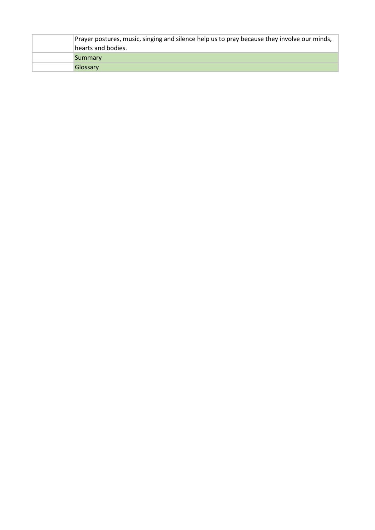| Prayer postures, music, singing and silence help us to pray because they involve our minds, |
|---------------------------------------------------------------------------------------------|
| hearts and bodies.                                                                          |
| Summary                                                                                     |
| Glossary                                                                                    |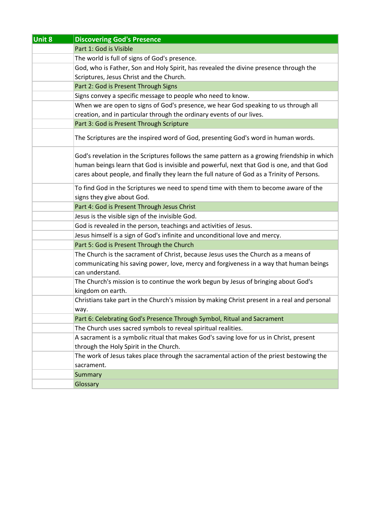| Unit 8 | <b>Discovering God's Presence</b>                                                                                                                                                                                                                                                       |
|--------|-----------------------------------------------------------------------------------------------------------------------------------------------------------------------------------------------------------------------------------------------------------------------------------------|
|        | Part 1: God is Visible                                                                                                                                                                                                                                                                  |
|        | The world is full of signs of God's presence.                                                                                                                                                                                                                                           |
|        | God, who is Father, Son and Holy Spirit, has revealed the divine presence through the                                                                                                                                                                                                   |
|        | Scriptures, Jesus Christ and the Church.                                                                                                                                                                                                                                                |
|        | Part 2: God is Present Through Signs                                                                                                                                                                                                                                                    |
|        | Signs convey a specific message to people who need to know.                                                                                                                                                                                                                             |
|        | When we are open to signs of God's presence, we hear God speaking to us through all                                                                                                                                                                                                     |
|        | creation, and in particular through the ordinary events of our lives.                                                                                                                                                                                                                   |
|        | Part 3: God is Present Through Scripture                                                                                                                                                                                                                                                |
|        | The Scriptures are the inspired word of God, presenting God's word in human words.                                                                                                                                                                                                      |
|        | God's revelation in the Scriptures follows the same pattern as a growing friendship in which<br>human beings learn that God is invisible and powerful, next that God is one, and that God<br>cares about people, and finally they learn the full nature of God as a Trinity of Persons. |
|        | To find God in the Scriptures we need to spend time with them to become aware of the<br>signs they give about God.                                                                                                                                                                      |
|        | Part 4: God is Present Through Jesus Christ                                                                                                                                                                                                                                             |
|        | Jesus is the visible sign of the invisible God.                                                                                                                                                                                                                                         |
|        | God is revealed in the person, teachings and activities of Jesus.                                                                                                                                                                                                                       |
|        | Jesus himself is a sign of God's infinite and unconditional love and mercy.                                                                                                                                                                                                             |
|        | Part 5: God is Present Through the Church                                                                                                                                                                                                                                               |
|        | The Church is the sacrament of Christ, because Jesus uses the Church as a means of                                                                                                                                                                                                      |
|        | communicating his saving power, love, mercy and forgiveness in a way that human beings<br>can understand.                                                                                                                                                                               |
|        | The Church's mission is to continue the work begun by Jesus of bringing about God's<br>kingdom on earth.                                                                                                                                                                                |
|        | Christians take part in the Church's mission by making Christ present in a real and personal<br>way.                                                                                                                                                                                    |
|        | Part 6: Celebrating God's Presence Through Symbol, Ritual and Sacrament                                                                                                                                                                                                                 |
|        | The Church uses sacred symbols to reveal spiritual realities.                                                                                                                                                                                                                           |
|        | A sacrament is a symbolic ritual that makes God's saving love for us in Christ, present                                                                                                                                                                                                 |
|        | through the Holy Spirit in the Church.                                                                                                                                                                                                                                                  |
|        | The work of Jesus takes place through the sacramental action of the priest bestowing the                                                                                                                                                                                                |
|        | sacrament.                                                                                                                                                                                                                                                                              |
|        | Summary                                                                                                                                                                                                                                                                                 |
|        | Glossary                                                                                                                                                                                                                                                                                |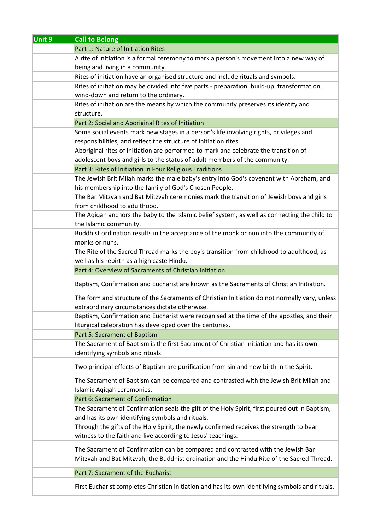| Unit 9 | <b>Call to Belong</b>                                                                                                                                   |
|--------|---------------------------------------------------------------------------------------------------------------------------------------------------------|
|        | Part 1: Nature of Initiation Rites                                                                                                                      |
|        | A rite of initiation is a formal ceremony to mark a person's movement into a new way of                                                                 |
|        | being and living in a community.                                                                                                                        |
|        | Rites of initiation have an organised structure and include rituals and symbols.                                                                        |
|        | Rites of initiation may be divided into five parts - preparation, build-up, transformation,                                                             |
|        | wind-down and return to the ordinary.                                                                                                                   |
|        | Rites of initiation are the means by which the community preserves its identity and                                                                     |
|        | structure.                                                                                                                                              |
|        | Part 2: Social and Aboriginal Rites of Initiation                                                                                                       |
|        | Some social events mark new stages in a person's life involving rights, privileges and                                                                  |
|        | responsibilities, and reflect the structure of initiation rites.                                                                                        |
|        | Aboriginal rites of initiation are performed to mark and celebrate the transition of                                                                    |
|        | adolescent boys and girls to the status of adult members of the community.                                                                              |
|        | Part 3: Rites of Initiation in Four Religious Traditions                                                                                                |
|        | The Jewish Brit Milah marks the male baby's entry into God's covenant with Abraham, and                                                                 |
|        | his membership into the family of God's Chosen People.                                                                                                  |
|        | The Bar Mitzvah and Bat Mitzvah ceremonies mark the transition of Jewish boys and girls                                                                 |
|        | from childhood to adulthood.                                                                                                                            |
|        | The Aqiqah anchors the baby to the Islamic belief system, as well as connecting the child to                                                            |
|        | the Islamic community.                                                                                                                                  |
|        | Buddhist ordination results in the acceptance of the monk or nun into the community of                                                                  |
|        | monks or nuns.                                                                                                                                          |
|        | The Rite of the Sacred Thread marks the boy's transition from childhood to adulthood, as                                                                |
|        | well as his rebirth as a high caste Hindu.                                                                                                              |
|        | Part 4: Overview of Sacraments of Christian Initiation                                                                                                  |
|        | Baptism, Confirmation and Eucharist are known as the Sacraments of Christian Initiation.                                                                |
|        | The form and structure of the Sacraments of Christian Initiation do not normally vary, unless                                                           |
|        | extraordinary circumstances dictate otherwise.                                                                                                          |
|        | Baptism, Confirmation and Eucharist were recognised at the time of the apostles, and their                                                              |
|        | liturgical celebration has developed over the centuries.                                                                                                |
|        | Part 5: Sacrament of Baptism                                                                                                                            |
|        | The Sacrament of Baptism is the first Sacrament of Christian Initiation and has its own<br>identifying symbols and rituals.                             |
|        |                                                                                                                                                         |
|        | Two principal effects of Baptism are purification from sin and new birth in the Spirit.                                                                 |
|        | The Sacrament of Baptism can be compared and contrasted with the Jewish Brit Milah and                                                                  |
|        | Islamic Aqiqah ceremonies.                                                                                                                              |
|        | Part 6: Sacrament of Confirmation                                                                                                                       |
|        | The Sacrament of Confirmation seals the gift of the Holy Spirit, first poured out in Baptism,<br>and has its own identifying symbols and rituals.       |
|        | Through the gifts of the Holy Spirit, the newly confirmed receives the strength to bear<br>witness to the faith and live according to Jesus' teachings. |
|        | The Sacrament of Confirmation can be compared and contrasted with the Jewish Bar                                                                        |
|        | Mitzvah and Bat Mitzvah, the Buddhist ordination and the Hindu Rite of the Sacred Thread.                                                               |
|        | Part 7: Sacrament of the Eucharist                                                                                                                      |
|        | First Eucharist completes Christian initiation and has its own identifying symbols and rituals.                                                         |